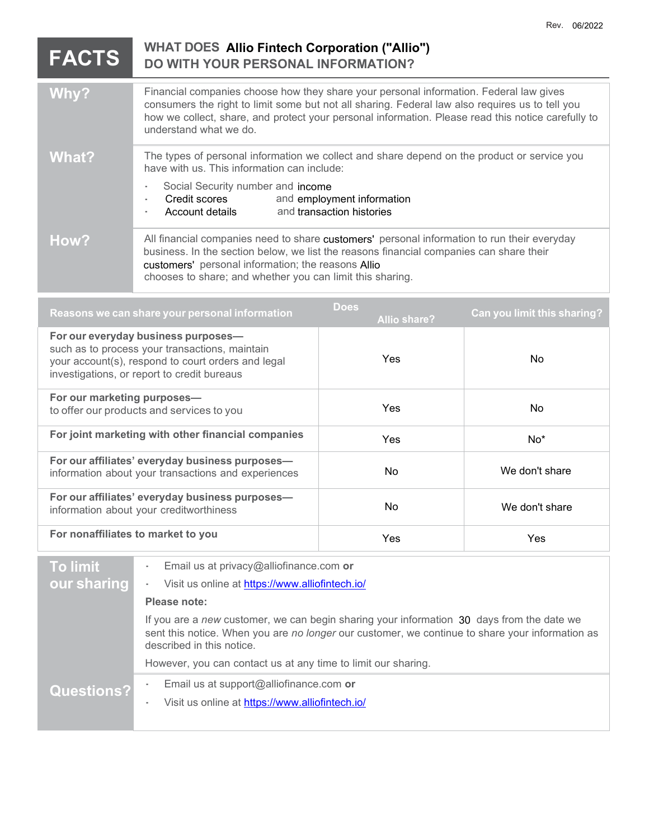## **WHAT DOES Allio Fintech Corporation ("Allio") DO WITH YOUR PERSONAL INFORMATION? Why?** Financial companies choose how they share your personal information. Federal law gives consumers the right to limit some but not all sharing. Federal law also requires us to tell you how we collect, share, and protect your personal information. Please read this notice carefully to understand what we do. What? The types of personal information we collect and share depend on the product or service you have with us. This information can include: Social Security number and income Credit scores and employment information Account details and transaction histories How? All financial companies need to share customers' personal information to run their everyday business. In the section below, we list the reasons financial companies can share their customers' personal information; the reasons Allio chooses to share; and whether you can limit this sharing. **Reasons we can share your personal information Does Allio share? Can you limit this sharing? For our everyday business purposes** such as to process your transactions, maintain your account(s), respond to court orders and legal investigations, or report to credit bureaus Yes No **For our marketing purposes** to offer our products and services to you Yes No **For joint marketing with other financial companies**  $Y_{\text{es}}$  **Yes No\* For our affiliates' everyday business purposes** information about your transactions and experiences No No No We don't share **For our affiliates' everyday business purposes** information about your creditworthiness and the state of the No We don't share **For nonaffiliates to market to you** Yes Yes **FACTS**

| To limit          | Email us at privacy@alliofinance.com or                                                                                                                                                                                   |  |
|-------------------|---------------------------------------------------------------------------------------------------------------------------------------------------------------------------------------------------------------------------|--|
| our sharing       | Visit us online at https://www.alliofintech.io/                                                                                                                                                                           |  |
|                   | Please note:                                                                                                                                                                                                              |  |
|                   | If you are a new customer, we can begin sharing your information 30 days from the date we<br>sent this notice. When you are no longer our customer, we continue to share your information as<br>described in this notice. |  |
|                   | However, you can contact us at any time to limit our sharing.                                                                                                                                                             |  |
| <b>Questions?</b> | Email us at support@alliofinance.com or<br>Visit us online at https://www.alliofintech.io/                                                                                                                                |  |